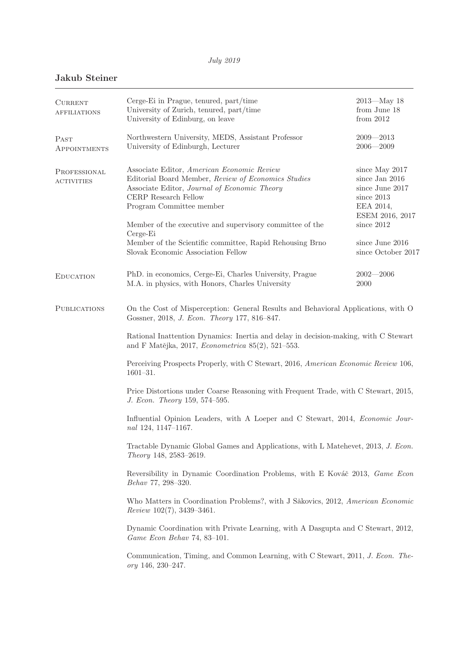## **Jakub Steiner**

| <b>CURRENT</b><br><b>AFFILIATIONS</b> | Cerge-Ei in Prague, tenured, part/time<br>University of Zurich, tenured, part/time<br>University of Edinburg, on leave                                                                                                                                                        | $2013 - May 18$<br>from June 18<br>from $2012$                                                                  |  |
|---------------------------------------|-------------------------------------------------------------------------------------------------------------------------------------------------------------------------------------------------------------------------------------------------------------------------------|-----------------------------------------------------------------------------------------------------------------|--|
| PAST<br>APPOINTMENTS                  | Northwestern University, MEDS, Assistant Professor<br>University of Edinburgh, Lecturer                                                                                                                                                                                       | $2009 - 2013$<br>$2006 - 2009$                                                                                  |  |
| PROFESSIONAL<br><b>ACTIVITIES</b>     | Associate Editor, American Economic Review<br>Editorial Board Member, Review of Economics Studies<br>Associate Editor, Journal of Economic Theory<br>CERP Research Fellow<br>Program Committee member<br>Member of the executive and supervisory committee of the<br>Cerge-Ei | since May 2017<br>since Jan 2016<br>since June 2017<br>since 2013<br>EEA 2014,<br>ESEM 2016, 2017<br>since 2012 |  |
|                                       | Member of the Scientific committee, Rapid Rehousing Brno<br>Slovak Economic Association Fellow                                                                                                                                                                                | since June 2016<br>since October 2017                                                                           |  |
| <b>EDUCATION</b>                      | PhD. in economics, Cerge-Ei, Charles University, Prague<br>M.A. in physics, with Honors, Charles University                                                                                                                                                                   | $2002 - 2006$<br>2000                                                                                           |  |
| <b>PUBLICATIONS</b>                   | On the Cost of Misperception: General Results and Behavioral Applications, with O<br>Gossner, 2018, J. Econ. Theory 177, 816-847.                                                                                                                                             |                                                                                                                 |  |
|                                       | Rational Inattention Dynamics: Inertia and delay in decision-making, with C Stewart<br>and F Matějka, 2017, Econometrica 85(2), 521–553.                                                                                                                                      |                                                                                                                 |  |
|                                       | Perceiving Prospects Properly, with C Stewart, 2016, American Economic Review 106,<br>$1601 - 31.$                                                                                                                                                                            |                                                                                                                 |  |
|                                       | Price Distortions under Coarse Reasoning with Frequent Trade, with C Stewart, 2015,<br>J. Econ. Theory 159, 574-595.                                                                                                                                                          |                                                                                                                 |  |
|                                       | Influential Opinion Leaders, with A Loeper and C Stewart, 2014, <i>Economic Jour-</i><br>nal 124, 1147-1167.                                                                                                                                                                  |                                                                                                                 |  |
|                                       | Tractable Dynamic Global Games and Applications, with L Matehevet, 2013, J. Econ.<br>Theory 148, 2583-2619.                                                                                                                                                                   |                                                                                                                 |  |
|                                       | Reversibility in Dynamic Coordination Problems, with E Kováč 2013, Game Econ<br>Behav 77, 298-320.                                                                                                                                                                            |                                                                                                                 |  |
|                                       | Who Matters in Coordination Problems?, with J Săkovics, 2012, American Economic<br>$Review\ 102(7),\ 3439-3461.$                                                                                                                                                              |                                                                                                                 |  |
|                                       | Dynamic Coordination with Private Learning, with A Dasgupta and C Stewart, 2012,<br>Game Econ Behav 74, 83-101.                                                                                                                                                               |                                                                                                                 |  |
|                                       | Communication, Timing, and Common Learning, with C Stewart, 2011, J. Econ. The-<br>ory 146, 230-247.                                                                                                                                                                          |                                                                                                                 |  |
|                                       |                                                                                                                                                                                                                                                                               |                                                                                                                 |  |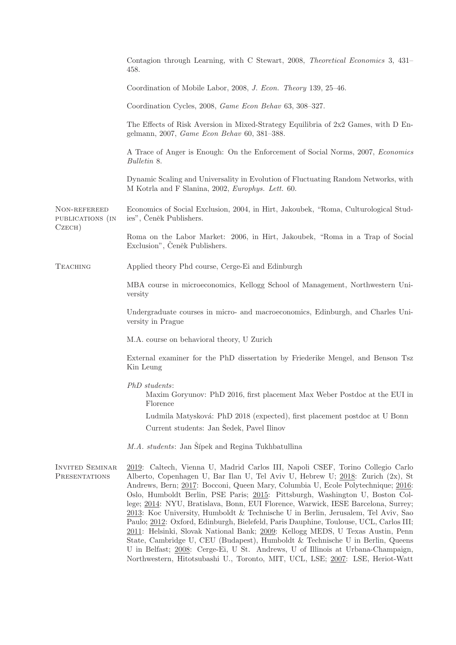|                                            | Contagion through Learning, with C Stewart, 2008, Theoretical Economics 3, 431–<br>458.                                                                                                                                                                                                                                                                                                                                                                                                                                                                                                                                                                                                                                                                                                                                                                                                                                                         |  |  |
|--------------------------------------------|-------------------------------------------------------------------------------------------------------------------------------------------------------------------------------------------------------------------------------------------------------------------------------------------------------------------------------------------------------------------------------------------------------------------------------------------------------------------------------------------------------------------------------------------------------------------------------------------------------------------------------------------------------------------------------------------------------------------------------------------------------------------------------------------------------------------------------------------------------------------------------------------------------------------------------------------------|--|--|
|                                            | Coordination of Mobile Labor, 2008, J. Econ. Theory 139, 25-46.                                                                                                                                                                                                                                                                                                                                                                                                                                                                                                                                                                                                                                                                                                                                                                                                                                                                                 |  |  |
|                                            | Coordination Cycles, 2008, Game Econ Behav 63, 308-327.                                                                                                                                                                                                                                                                                                                                                                                                                                                                                                                                                                                                                                                                                                                                                                                                                                                                                         |  |  |
|                                            | The Effects of Risk Aversion in Mixed-Strategy Equilibria of 2x2 Games, with D En-<br>gelmann, 2007, Game Econ Behav 60, 381-388.                                                                                                                                                                                                                                                                                                                                                                                                                                                                                                                                                                                                                                                                                                                                                                                                               |  |  |
|                                            | A Trace of Anger is Enough: On the Enforcement of Social Norms, 2007, <i>Economics</i><br>Bulletin 8.                                                                                                                                                                                                                                                                                                                                                                                                                                                                                                                                                                                                                                                                                                                                                                                                                                           |  |  |
|                                            | Dynamic Scaling and Universality in Evolution of Fluctuating Random Networks, with<br>M Kotrla and F Slanina, 2002, Europhys. Lett. 60.                                                                                                                                                                                                                                                                                                                                                                                                                                                                                                                                                                                                                                                                                                                                                                                                         |  |  |
| NON-REFEREED<br>PUBLICATIONS (IN<br>CzeCH) | Economics of Social Exclusion, 2004, in Hirt, Jakoubek, "Roma, Culturological Stud-<br>ies", Čeněk Publishers.                                                                                                                                                                                                                                                                                                                                                                                                                                                                                                                                                                                                                                                                                                                                                                                                                                  |  |  |
|                                            | Roma on the Labor Market: 2006, in Hirt, Jakoubek, "Roma in a Trap of Social<br>Exclusion", Čeněk Publishers.                                                                                                                                                                                                                                                                                                                                                                                                                                                                                                                                                                                                                                                                                                                                                                                                                                   |  |  |
| <b>TEACHING</b>                            | Applied theory Phd course, Cerge-Ei and Edinburgh                                                                                                                                                                                                                                                                                                                                                                                                                                                                                                                                                                                                                                                                                                                                                                                                                                                                                               |  |  |
|                                            | MBA course in microeconomics, Kellogg School of Management, Northwestern Uni-<br>versity                                                                                                                                                                                                                                                                                                                                                                                                                                                                                                                                                                                                                                                                                                                                                                                                                                                        |  |  |
|                                            | Undergraduate courses in micro- and macroeconomics, Edinburgh, and Charles Uni-<br>versity in Prague                                                                                                                                                                                                                                                                                                                                                                                                                                                                                                                                                                                                                                                                                                                                                                                                                                            |  |  |
|                                            | M.A. course on behavioral theory, U Zurich                                                                                                                                                                                                                                                                                                                                                                                                                                                                                                                                                                                                                                                                                                                                                                                                                                                                                                      |  |  |
|                                            | External examiner for the PhD dissertation by Friederike Mengel, and Benson Tsz<br>Kin Leung                                                                                                                                                                                                                                                                                                                                                                                                                                                                                                                                                                                                                                                                                                                                                                                                                                                    |  |  |
|                                            | $PhD\ students:$<br>Maxim Goryunov: PhD 2016, first placement Max Weber Postdoc at the EUI in<br>Florence                                                                                                                                                                                                                                                                                                                                                                                                                                                                                                                                                                                                                                                                                                                                                                                                                                       |  |  |
|                                            | Ludmila Matysková: PhD 2018 (expected), first placement postdoc at U Bonn                                                                                                                                                                                                                                                                                                                                                                                                                                                                                                                                                                                                                                                                                                                                                                                                                                                                       |  |  |
|                                            | Current students: Jan Sedek, Pavel Ilinov                                                                                                                                                                                                                                                                                                                                                                                                                                                                                                                                                                                                                                                                                                                                                                                                                                                                                                       |  |  |
|                                            | M.A. students: Jan Šípek and Regina Tukhbatullina                                                                                                                                                                                                                                                                                                                                                                                                                                                                                                                                                                                                                                                                                                                                                                                                                                                                                               |  |  |
| <b>INVITED SEMINAR</b><br>PRESENTATIONS    | 2019: Caltech, Vienna U, Madrid Carlos III, Napoli CSEF, Torino Collegio Carlo<br>Alberto, Copenhagen U, Bar Ilan U, Tel Aviv U, Hebrew U; 2018: Zurich (2x), St<br>Andrews, Bern; 2017: Bocconi, Queen Mary, Columbia U, Ecole Polytechnique; 2016:<br>Oslo, Humboldt Berlin, PSE Paris; 2015: Pittsburgh, Washington U, Boston Col-<br>lege; 2014: NYU, Bratislava, Bonn, EUI Florence, Warwick, IESE Barcelona, Surrey;<br>2013: Koc University, Humboldt & Technische U in Berlin, Jerusalem, Tel Aviv, Sao<br>Paulo; 2012: Oxford, Edinburgh, Bielefeld, Paris Dauphine, Toulouse, UCL, Carlos III;<br>2011: Helsinki, Slovak National Bank; 2009: Kellogg MEDS, U Texas Austin, Penn<br>State, Cambridge U, CEU (Budapest), Humboldt & Technische U in Berlin, Queens<br>U in Belfast; 2008: Cerge-Ei, U St. Andrews, U of Illinois at Urbana-Champaign,<br>Northwestern, Hitotsubashi U., Toronto, MIT, UCL, LSE; 2007: LSE, Heriot-Watt |  |  |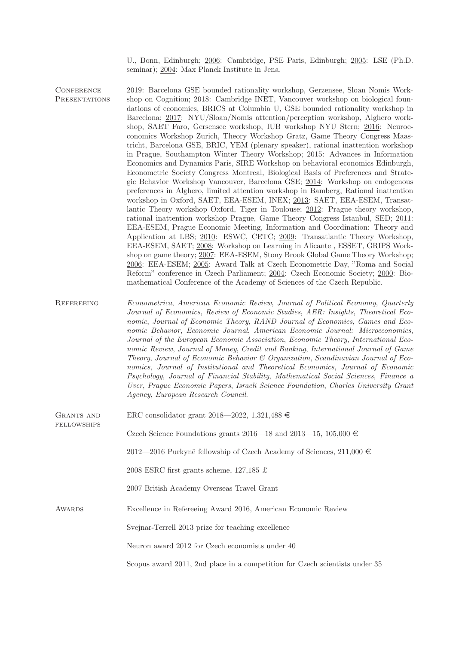U., Bonn, Edinburgh; 2006: Cambridge, PSE Paris, Edinburgh; 2005: LSE (Ph.D. seminar); 2004: Max Planck Institute in Jena.

- **CONFERENCE PRESENTATIONS** 2019: Barcelona GSE bounded rationality workshop, Gerzensee, Sloan Nomis Workshop on Cognition; 2018: Cambridge INET, Vancouver workshop on biological foundations of economics, BRICS at Columbia U, GSE bounded rationality workshop in Barcelona; 2017: NYU/Sloan/Nomis attention/perception workshop, Alghero workshop, SAET Faro, Gersensee workshop, IUB workshop NYU Stern; 2016: Neuroeconomics Workshop Zurich, Theory Workshop Gratz, Game Theory Congress Maastricht, Barcelona GSE, BRIC, YEM (plenary speaker), rational inattention workshop in Prague, Southampton Winter Theory Workshop; 2015: Advances in Information Economics and Dynamics Paris, SIRE Workshop on behavioral economics Edinburgh, Econometric Society Congress Montreal, Biological Basis of Preferences and Strategic Behavior Workshop Vancouver, Barcelona GSE; 2014: Workshop on endogenous preferences in Alghero, limited attention workshop in Bamberg, Rational inattention workshop in Oxford, SAET, EEA-ESEM, INEX; 2013: SAET, EEA-ESEM, Transatlantic Theory workshop Oxford, Tiger in Toulouse; 2012: Prague theory workshop, rational inattention workshop Prague, Game Theory Congress Istanbul, SED; 2011: EEA-ESEM, Prague Economic Meeting, Information and Coordination: Theory and Application at LBS; 2010: ESWC, CETC; 2009: Transatlantic Theory Workshop, EEA-ESEM, SAET; 2008: Workshop on Learning in Alicante , ESSET, GRIPS Workshop on game theory; 2007: EEA-ESEM, Stony Brook Global Game Theory Workshop; 2006: EEA-ESEM; 2005: Award Talk at Czech Econometric Day, "Roma and Social Reform" conference in Czech Parliament; 2004: Czech Economic Society; 2000: Biomathematical Conference of the Academy of Sciences of the Czech Republic.
- REFEREEING Econometrica, American Economic Review, Journal of Political Economy, Quarterly Journal of Economics, Review of Economic Studies, AER: Insights, Theoretical Economic, Journal of Economic Theory, RAND Journal of Economics, Games and Economic Behavior, Economic Journal, American Economic Journal: Microeconomics, Journal of the European Economic Association, Economic Theory, International Economic Review, Journal of Money, Credit and Banking, International Journal of Game Theory, Journal of Economic Behavior & Organization, Scandinavian Journal of Economics, Journal of Institutional and Theoretical Economics, Journal of Economic Psychology, Journal of Financial Stability, Mathematical Social Sciences, Finance a Uver, Prague Economic Papers, Israeli Science Foundation, Charles University Grant Agency, European Research Council.
- Grants and **FELLOWSHIPS** ERC consolidator grant 2018—2022, 1,321,488  $\in$ Czech Science Foundations grants 2016—18 and 2013—15, 105,000  $\in$ 2012—2016 Purkyně fellowship of Czech Academy of Sciences, 211,000  $\in$ 2008 ESRC first grants scheme, 127,185 £ 2007 British Academy Overseas Travel Grant AWARDS Excellence in Refereeing Award 2016, American Economic Review Svejnar-Terrell 2013 prize for teaching excellence Neuron award 2012 for Czech economists under 40 Scopus award 2011, 2nd place in a competition for Czech scientists under 35